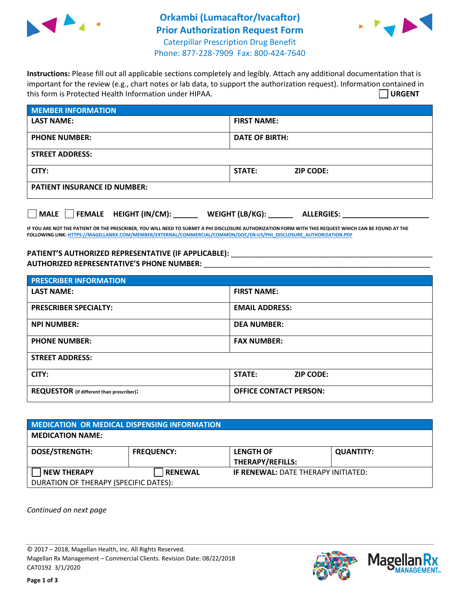

## **Orkambi (Lumacaftor/Ivacaftor) Prior Authorization Request Form** Caterpillar Prescription Drug Benefit Phone: 877-228-7909 Fax: 800-424-7640



**Instructions:** Please fill out all applicable sections completely and legibly. Attach any additional documentation that is important for the review (e.g., chart notes or lab data, to support the authorization request). Information contained in this form is Protected Health Information under HIPAA. **URGENT**

| <b>MEMBER INFORMATION</b>           |                                   |  |  |  |
|-------------------------------------|-----------------------------------|--|--|--|
| <b>LAST NAME:</b>                   | <b>FIRST NAME:</b>                |  |  |  |
| <b>PHONE NUMBER:</b>                | <b>DATE OF BIRTH:</b>             |  |  |  |
| <b>STREET ADDRESS:</b>              |                                   |  |  |  |
| CITY:                               | <b>STATE:</b><br><b>ZIP CODE:</b> |  |  |  |
| <b>PATIENT INSURANCE ID NUMBER:</b> |                                   |  |  |  |

**MALE FEMALE HEIGHT (IN/CM): \_\_\_\_\_\_ WEIGHT (LB/KG): \_\_\_\_\_\_ ALLERGIES: \_\_\_\_\_\_\_\_\_\_\_\_\_\_\_\_\_\_\_\_\_**

**IF YOU ARE NOT THE PATIENT OR THE PRESCRIBER, YOU WILL NEED TO SUBMIT A PHI DISCLOSURE AUTHORIZATION FORM WITH THIS REQUEST WHICH CAN BE FOUND AT THE FOLLOWING LINK[: HTTPS://MAGELLANRX.COM/MEMBER/EXTERNAL/COMMERCIAL/COMMON/DOC/EN-US/PHI\\_DISCLOSURE\\_AUTHORIZATION.PDF](https://magellanrx.com/member/external/commercial/common/doc/en-us/PHI_Disclosure_Authorization.pdf)**

## **PATIENT'S AUTHORIZED REPRESENTATIVE (IF APPLICABLE):** \_\_\_\_\_\_\_\_\_\_\_\_\_\_\_\_\_\_\_\_\_\_\_\_\_\_\_\_\_\_\_\_\_\_\_\_\_\_\_\_\_\_\_\_\_\_\_\_\_ **AUTHORIZED REPRESENTATIVE'S PHONE NUMBER:** \_\_\_\_\_\_\_\_\_\_\_\_\_\_\_\_\_\_\_\_\_\_\_\_\_\_\_\_\_\_\_\_\_\_\_\_\_\_\_\_\_\_\_\_\_\_\_\_\_\_\_\_\_\_\_

| <b>PRESCRIBER INFORMATION</b>             |                                   |  |  |  |
|-------------------------------------------|-----------------------------------|--|--|--|
| <b>LAST NAME:</b>                         | <b>FIRST NAME:</b>                |  |  |  |
| <b>PRESCRIBER SPECIALTY:</b>              | <b>EMAIL ADDRESS:</b>             |  |  |  |
| <b>NPI NUMBER:</b>                        | <b>DEA NUMBER:</b>                |  |  |  |
| <b>PHONE NUMBER:</b>                      | <b>FAX NUMBER:</b>                |  |  |  |
| <b>STREET ADDRESS:</b>                    |                                   |  |  |  |
| CITY:                                     | <b>STATE:</b><br><b>ZIP CODE:</b> |  |  |  |
| REQUESTOR (if different than prescriber): | <b>OFFICE CONTACT PERSON:</b>     |  |  |  |

| <b>MEDICATION OR MEDICAL DISPENSING INFORMATION</b> |                   |                                             |                  |  |  |
|-----------------------------------------------------|-------------------|---------------------------------------------|------------------|--|--|
| <b>MEDICATION NAME:</b>                             |                   |                                             |                  |  |  |
| <b>DOSE/STRENGTH:</b>                               | <b>FREQUENCY:</b> | <b>LENGTH OF</b><br><b>THERAPY/REFILLS:</b> | <b>QUANTITY:</b> |  |  |
| <b>NEW THERAPY</b>                                  | <b>RENEWAL</b>    | <b>IF RENEWAL: DATE THERAPY INITIATED:</b>  |                  |  |  |
| DURATION OF THERAPY (SPECIFIC DATES):               |                   |                                             |                  |  |  |

*Continued on next page*

© 2017 – 2018, Magellan Health, Inc. All Rights Reserved. Magellan Rx Management – Commercial Clients. Revision Date: 08/22/2018 CAT0192 3/1/2020

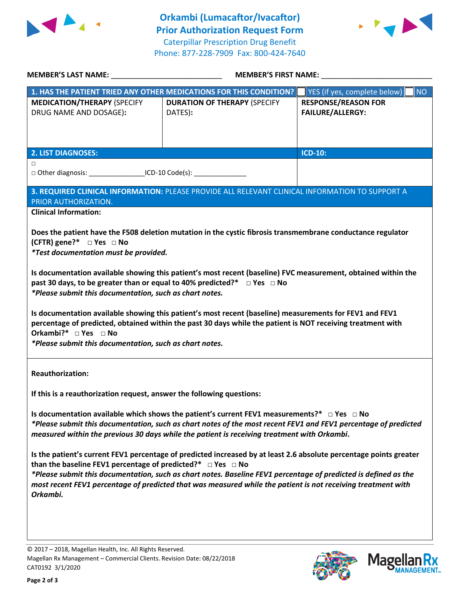



|                                                                                                                                                                                                                                                                                                                                                                                                                                                                                                                                                                                                                                                                                                                                                                       | <b>MEMBER'S FIRST NAME:</b>                                                                     |                                                       |  |  |
|-----------------------------------------------------------------------------------------------------------------------------------------------------------------------------------------------------------------------------------------------------------------------------------------------------------------------------------------------------------------------------------------------------------------------------------------------------------------------------------------------------------------------------------------------------------------------------------------------------------------------------------------------------------------------------------------------------------------------------------------------------------------------|-------------------------------------------------------------------------------------------------|-------------------------------------------------------|--|--|
|                                                                                                                                                                                                                                                                                                                                                                                                                                                                                                                                                                                                                                                                                                                                                                       | 1. HAS THE PATIENT TRIED ANY OTHER MEDICATIONS FOR THIS CONDITION?                              | YES (if yes, complete below)<br><b>NO</b>             |  |  |
| <b>MEDICATION/THERAPY (SPECIFY</b><br>DRUG NAME AND DOSAGE):                                                                                                                                                                                                                                                                                                                                                                                                                                                                                                                                                                                                                                                                                                          | <b>DURATION OF THERAPY (SPECIFY</b><br>DATES):                                                  | <b>RESPONSE/REASON FOR</b><br><b>FAILURE/ALLERGY:</b> |  |  |
| <b>2. LIST DIAGNOSES:</b>                                                                                                                                                                                                                                                                                                                                                                                                                                                                                                                                                                                                                                                                                                                                             |                                                                                                 | <b>ICD-10:</b>                                        |  |  |
| $\Box$<br>□ Other diagnosis: __________________ICD-10 Code(s): __________________________                                                                                                                                                                                                                                                                                                                                                                                                                                                                                                                                                                                                                                                                             |                                                                                                 |                                                       |  |  |
| PRIOR AUTHORIZATION.                                                                                                                                                                                                                                                                                                                                                                                                                                                                                                                                                                                                                                                                                                                                                  | 3. REQUIRED CLINICAL INFORMATION: PLEASE PROVIDE ALL RELEVANT CLINICAL INFORMATION TO SUPPORT A |                                                       |  |  |
| <b>Clinical Information:</b>                                                                                                                                                                                                                                                                                                                                                                                                                                                                                                                                                                                                                                                                                                                                          |                                                                                                 |                                                       |  |  |
| Does the patient have the F508 deletion mutation in the cystic fibrosis transmembrane conductance regulator<br>(CFTR) gene?* $\Box$ Yes $\Box$ No<br><i>*Test documentation must be provided.</i><br>Is documentation available showing this patient's most recent (baseline) FVC measurement, obtained within the<br>past 30 days, to be greater than or equal to 40% predicted?* □ Yes □ No<br>*Please submit this documentation, such as chart notes.<br>Is documentation available showing this patient's most recent (baseline) measurements for FEV1 and FEV1<br>percentage of predicted, obtained within the past 30 days while the patient is NOT receiving treatment with<br>Orkambi?* □ Yes □ No<br>*Please submit this documentation, such as chart notes. |                                                                                                 |                                                       |  |  |
| <b>Reauthorization:</b>                                                                                                                                                                                                                                                                                                                                                                                                                                                                                                                                                                                                                                                                                                                                               |                                                                                                 |                                                       |  |  |
| If this is a reauthorization request, answer the following questions:                                                                                                                                                                                                                                                                                                                                                                                                                                                                                                                                                                                                                                                                                                 |                                                                                                 |                                                       |  |  |
| Is documentation available which shows the patient's current FEV1 measurements?* $\Box$ Yes $\Box$ No<br>*Please submit this documentation, such as chart notes of the most recent FEV1 and FEV1 percentage of predicted<br>measured within the previous 30 days while the patient is receiving treatment with Orkambi.                                                                                                                                                                                                                                                                                                                                                                                                                                               |                                                                                                 |                                                       |  |  |
| Is the patient's current FEV1 percentage of predicted increased by at least 2.6 absolute percentage points greater<br>than the baseline FEV1 percentage of predicted?* $\Box$ Yes $\Box$ No<br>*Please submit this documentation, such as chart notes. Baseline FEV1 percentage of predicted is defined as the<br>most recent FEV1 percentage of predicted that was measured while the patient is not receiving treatment with<br>Orkambi.                                                                                                                                                                                                                                                                                                                            |                                                                                                 |                                                       |  |  |